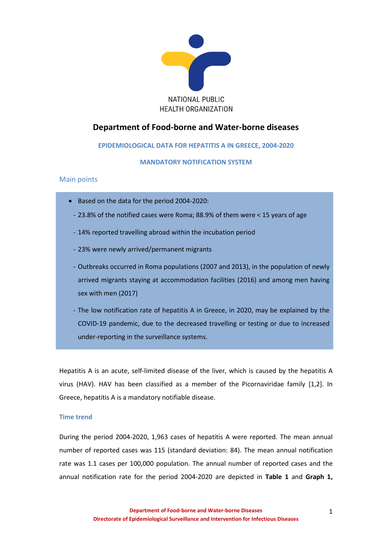

# **Department of Food-borne and Water-borne diseases**

# **EPIDEMIOLOGICAL DATA FOR HEPATITIS A IN GREECE, 2004-2020**

# **MANDATORY NOTIFICATION SYSTEM**

# Main points

- Based on the data for the period 2004-2020:
	- 23.8% of the notified cases were Roma; 88.9% of them were < 15 years of age
	- 14% reported travelling abroad within the incubation period
	- 23% were newly arrived/permanent migrants
	- Outbreaks occurred in Roma populations (2007 and 2013), in the population of newly arrived migrants staying at accommodation facilities (2016) and among men having sex with men (2017)
	- The low notification rate of hepatitis A in Greece, in 2020, may be explained by the COVID-19 pandemic, due to the decreased travelling or testing or due to increased under-reporting in the surveillance systems.

Hepatitis A is an acute, self-limited disease of the liver, which is caused by the hepatitis A virus (HAV). HAV has been classified as a member of the Picornaviridae family [1,2]. In Greece, hepatitis A is a mandatory notifiable disease.

# **Time trend**

During the period 2004-2020, 1,963 cases of hepatitis A were reported. The mean annual number of reported cases was 115 (standard deviation: 84). The mean annual notification rate was 1.1 cases per 100,000 population. The annual number of reported cases and the annual notification rate for the period 2004-2020 are depicted in **Table 1** and **Graph 1,**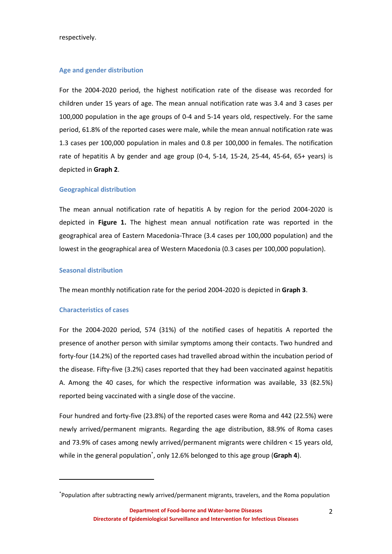respectively.

### **Age and gender distribution**

For the 2004-2020 period, the highest notification rate of the disease was recorded for children under 15 years of age. The mean annual notification rate was 3.4 and 3 cases per 100,000 population in the age groups of 0-4 and 5-14 years old, respectively. For the same period, 61.8% of the reported cases were male, while the mean annual notification rate was 1.3 cases per 100,000 population in males and 0.8 per 100,000 in females. The notification rate of hepatitis A by gender and age group (0-4, 5-14, 15-24, 25-44, 45-64, 65+ years) is depicted in **Graph 2**.

#### **Geographical distribution**

The mean annual notification rate of hepatitis A by region for the period 2004-2020 is depicted in **Figure 1.** The highest mean annual notification rate was reported in the geographical area of Eastern Macedonia-Thrace (3.4 cases per 100,000 population) and the lowest in the geographical area of Western Macedonia (0.3 cases per 100,000 population).

# **Seasonal distribution**

The mean monthly notification rate for the period 2004-2020 is depicted in **Graph 3**.

# **Characteristics of cases**

1

For the 2004-2020 period, 574 (31%) of the notified cases of hepatitis A reported the presence of another person with similar symptoms among their contacts. Two hundred and forty-four (14.2%) of the reported cases had travelled abroad within the incubation period of the disease. Fifty-five (3.2%) cases reported that they had been vaccinated against hepatitis A. Among the 40 cases, for which the respective information was available, 33 (82.5%) reported being vaccinated with a single dose of the vaccine.

Four hundred and forty-five (23.8%) of the reported cases were Roma and 442 (22.5%) were newly arrived/permanent migrants. Regarding the age distribution, 88.9% of Roma cases and 73.9% of cases among newly arrived/permanent migrants were children < 15 years old, while in the general population\* , only 12.6% belonged to this age group (**Graph 4**).

<sup>\*</sup>Population after subtracting newly arrived/permanent migrants, travelers, and the Roma population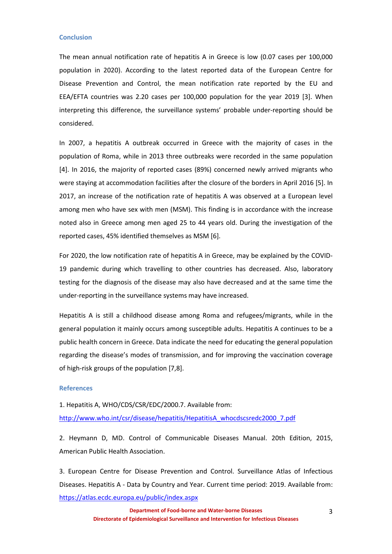#### **Conclusion**

The mean annual notification rate of hepatitis A in Greece is low (0.07 cases per 100,000 population in 2020). According to the latest reported data of the European Centre for Disease Prevention and Control, the mean notification rate reported by the EU and EEA/EFTA countries was 2.20 cases per 100,000 population for the year 2019 [3]. When interpreting this difference, the surveillance systems' probable under-reporting should be considered.

In 2007, a hepatitis A outbreak occurred in Greece with the majority of cases in the population of Roma, while in 2013 three outbreaks were recorded in the same population [4]. In 2016, the majority of reported cases (89%) concerned newly arrived migrants who were staying at accommodation facilities after the closure of the borders in April 2016 [5]. In 2017, an increase of the notification rate of hepatitis A was observed at a European level among men who have sex with men (MSM). This finding is in accordance with the increase noted also in Greece among men aged 25 to 44 years old. During the investigation of the reported cases, 45% identified themselves as MSM [6].

For 2020, the low notification rate of hepatitis A in Greece, may be explained by the COVID-19 pandemic during which travelling to other countries has decreased. Also, laboratory testing for the diagnosis of the disease may also have decreased and at the same time the under-reporting in the surveillance systems may have increased.

Hepatitis A is still a childhood disease among Roma and refugees/migrants, while in the general population it mainly occurs among susceptible adults. Hepatitis A continues to be a public health concern in Greece. Data indicate the need for educating the general population regarding the disease's modes of transmission, and for improving the vaccination coverage of high-risk groups of the population [7,8].

### **References**

1. Hepatitis A, WHO/CDS/CSR/EDC/2000.7. Available from: [http://www.who.int/csr/disease/hepatitis/HepatitisA\\_whocdscsredc2000\\_7.pdf](http://www.who.int/csr/disease/hepatitis/HepatitisA_whocdscsredc2000_7.pdf)

2. Heymann D, MD. Control of Communicable Diseases Manual. 20th Edition, 2015, American Public Health Association.

3. European Centre for Disease Prevention and Control. Surveillance Atlas of Infectious Diseases. Hepatitis A - Data by Country and Year. Current time period: 2019. Available from: <https://atlas.ecdc.europa.eu/public/index.aspx>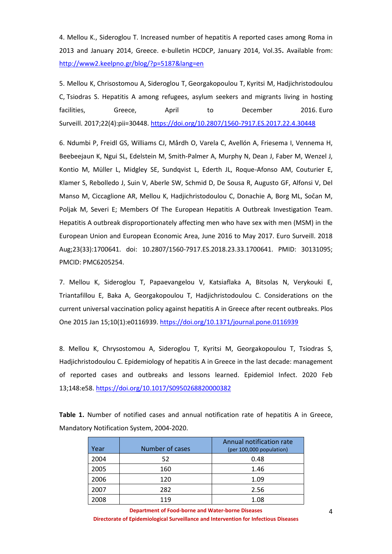4. Mellou K., Sideroglou T. Increased number of hepatitis A reported cases among Roma in 2013 and January 2014, Greece. e-bulletin HCDCP, January 2014, Vol.35**.** Available from: <http://www2.keelpno.gr/blog/?p=5187&lang=en>

5. [Mellou K,](https://www.eurosurveillance.org/search?value1=Kassiani+Mellou&option1=author&noRedirect=true) [Chrisostomou A,](https://www.eurosurveillance.org/search?value1=Anthi+Chrisostomou&option1=author&noRedirect=true) [Sideroglou T,](https://www.eurosurveillance.org/search?value1=Theologia+Sideroglou&option1=author&noRedirect=true) [Georgakopoulou T,](https://www.eurosurveillance.org/search?value1=Theano+Georgakopoulou&option1=author&noRedirect=true) [Kyritsi M,](https://www.eurosurveillance.org/search?value1=Maria+Kyritsi&option1=author&noRedirect=true) [Hadjichristodoulou](https://www.eurosurveillance.org/search?value1=Christos+Hadjichristodoulou&option1=author&noRedirect=true)  [C,](https://www.eurosurveillance.org/search?value1=Christos+Hadjichristodoulou&option1=author&noRedirect=true) [Tsiodras S.](https://www.eurosurveillance.org/search?value1=Sotirios+Tsiodras&option1=author&noRedirect=true) Hepatitis A among refugees, asylum seekers and migrants living in hosting facilities, Greece, April to December 2016. Euro [Surveill.](https://www.eurosurveillance.org/content/ecdc) 2017;22(4):pii=30448. <https://doi.org/10.2807/1560-7917.ES.2017.22.4.30448>

6. Ndumbi P, Freidl GS, Williams CJ, Mårdh O, Varela C, Avellón A, Friesema I, Vennema H, Beebeejaun K, Ngui SL, Edelstein M, Smith-Palmer A, Murphy N, Dean J, Faber M, Wenzel J, Kontio M, Müller L, Midgley SE, Sundqvist L, Ederth JL, Roque-Afonso AM, Couturier E, Klamer S, Rebolledo J, Suin V, Aberle SW, Schmid D, De Sousa R, Augusto GF, Alfonsi V, Del Manso M, Ciccaglione AR, Mellou K, Hadjichristodoulou C, Donachie A, Borg ML, Sočan M, Poljak M, Severi E; Members Of The European Hepatitis A Outbreak Investigation Team. Hepatitis A outbreak disproportionately affecting men who have sex with men (MSM) in the European Union and European Economic Area, June 2016 to May 2017. Euro Surveill. 2018 Aug;23(33):1700641. doi: 10.2807/1560-7917.ES.2018.23.33.1700641. PMID: 30131095; PMCID: PMC6205254.

7. Mellou K, Sideroglou T, Papaevangelou V, Katsiaflaka A, Bitsolas N, Verykouki E, Triantafillou E, Baka A, Georgakopoulou T, Hadjichristodoulou C. Considerations on the current universal vaccination policy against hepatitis A in Greece after recent outbreaks. Plos One 2015 Jan 15;10(1):e0116939.<https://doi.org/10.1371/journal.pone.0116939>

8. Mellou K, Chrysostomou A, Sideroglou T, Kyritsi M, Georgakopoulou T, Tsiodras S, Hadjichristodoulou C. Epidemiology of hepatitis A in Greece in the last decade: management of reported cases and outbreaks and lessons learned. Epidemiol Infect. 2020 Feb 13;148:e58. https://doi.org/10.1017/S0950268820000382

**Table 1.** Number of notified cases and annual notification rate of hepatitis A in Greece, Mandatory Notification System, 2004-2020.

| Year | Number of cases | Annual notification rate<br>(per 100,000 population) |
|------|-----------------|------------------------------------------------------|
| 2004 | 52              | 0.48                                                 |
| 2005 | 160             | 1.46                                                 |
| 2006 | 120             | 1.09                                                 |
| 2007 | 282             | 2.56                                                 |
| 2008 | 119             | 1.08                                                 |

**Department of Food-borne and Water-borne Diseases Directorate of Epidemiological Surveillance and Intervention for Infectious Diseases**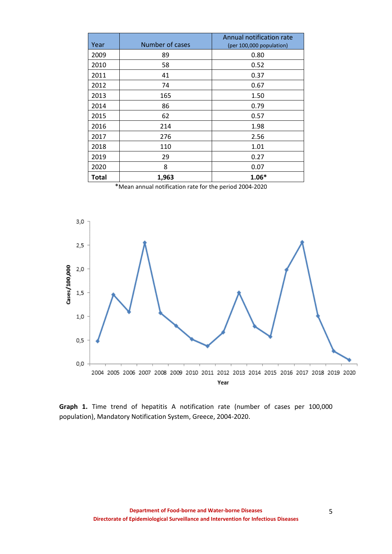| Year  | Number of cases | Annual notification rate<br>(per 100,000 population) |
|-------|-----------------|------------------------------------------------------|
| 2009  | 89              | 0.80                                                 |
| 2010  | 58              | 0.52                                                 |
| 2011  | 41              | 0.37                                                 |
| 2012  | 74              | 0.67                                                 |
| 2013  | 165             | 1.50                                                 |
| 2014  | 86              | 0.79                                                 |
| 2015  | 62              | 0.57                                                 |
| 2016  | 214             | 1.98                                                 |
| 2017  | 276             | 2.56                                                 |
| 2018  | 110             | 1.01                                                 |
| 2019  | 29              | 0.27                                                 |
| 2020  | 8               | 0.07                                                 |
| Total | 1,963           | $1.06*$                                              |

 <sup>\*</sup>Mean annual notification rate for the period 2004-2020



**Graph 1.** Time trend of hepatitis A notification rate (number of cases per 100,000 population), Mandatory Notification System, Greece, 2004-2020.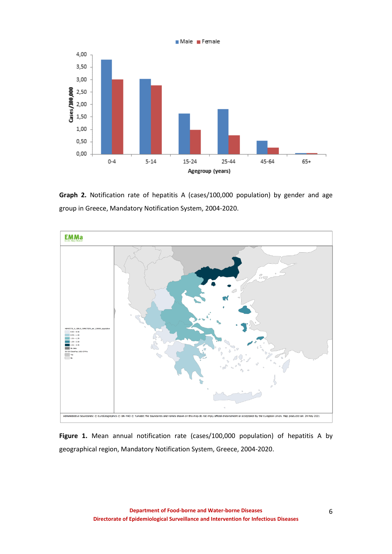

**Graph 2.** Notification rate of hepatitis Α (cases/100,000 population) by gender and age group in Greece, Mandatory Notification System, 2004-2020.



**Figure 1.** Mean annual notification rate (cases/100,000 population) of hepatitis A by geographical region, Mandatory Notification System, Greece, 2004-2020.